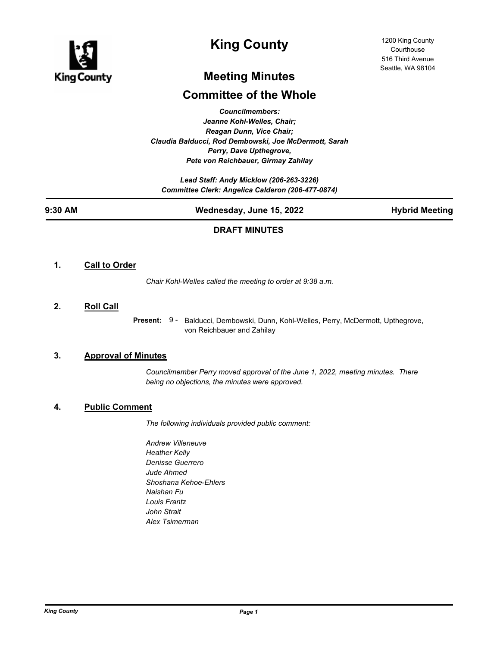

# **King County**

# **Meeting Minutes**

## **Committee of the Whole**

*Councilmembers: Jeanne Kohl-Welles, Chair; Reagan Dunn, Vice Chair; Claudia Balducci, Rod Dembowski, Joe McDermott, Sarah Perry, Dave Upthegrove, Pete von Reichbauer, Girmay Zahilay*

*Lead Staff: Andy Micklow (206-263-3226) Committee Clerk: Angelica Calderon (206-477-0874)*

| 9:30 AM | Wednesday, June 15, 2022 | <b>Hybrid Meeting</b> |
|---------|--------------------------|-----------------------|
|         |                          |                       |

## **DRAFT MINUTES**

### **1. Call to Order**

*Chair Kohl-Welles called the meeting to order at 9:38 a.m.*

#### **2. Roll Call**

Present: 9 - Balducci, Dembowski, Dunn, Kohl-Welles, Perry, McDermott, Upthegrove, von Reichbauer and Zahilay

### **3. Approval of Minutes**

*Councilmember Perry moved approval of the June 1, 2022, meeting minutes. There being no objections, the minutes were approved.*

### **4. Public Comment**

*The following individuals provided public comment:*

*Andrew Villeneuve Heather Kelly Denisse Guerrero Jude Ahmed Shoshana Kehoe-Ehlers Naishan Fu Louis Frantz John Strait Alex Tsimerman*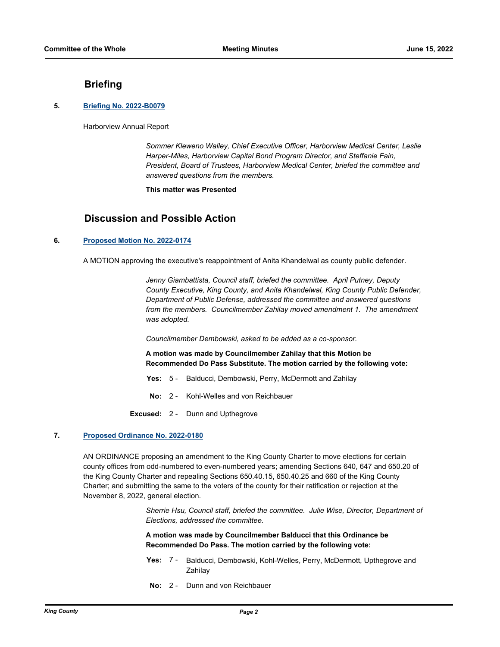### **Briefing**

#### **5. [Briefing No. 2022-B0079](http://kingcounty.legistar.com/gateway.aspx?m=l&id=/matter.aspx?key=23179)**

Harborview Annual Report

*Sommer Kleweno Walley, Chief Executive Officer, Harborview Medical Center, Leslie Harper-Miles, Harborview Capital Bond Program Director, and Steffanie Fain, President, Board of Trustees, Harborview Medical Center, briefed the committee and answered questions from the members.*

**This matter was Presented**

## **Discussion and Possible Action**

#### **6. [Proposed Motion No. 2022-0174](http://kingcounty.legistar.com/gateway.aspx?m=l&id=/matter.aspx?key=23085)**

A MOTION approving the executive's reappointment of Anita Khandelwal as county public defender.

*Jenny Giambattista, Council staff, briefed the committee. April Putney, Deputy County Executive, King County, and Anita Khandelwal, King County Public Defender, Department of Public Defense, addressed the committee and answered questions from the members. Councilmember Zahilay moved amendment 1. The amendment was adopted.*

*Councilmember Dembowski, asked to be added as a co-sponsor.*

**A motion was made by Councilmember Zahilay that this Motion be Recommended Do Pass Substitute. The motion carried by the following vote:**

- **Yes:** 5 Balducci, Dembowski, Perry, McDermott and Zahilay
- **No:** 2 Kohl-Welles and von Reichbauer
- **Excused:** 2 Dunn and Upthegrove

#### **7. [Proposed Ordinance No. 2022-0180](http://kingcounty.legistar.com/gateway.aspx?m=l&id=/matter.aspx?key=23097)**

AN ORDINANCE proposing an amendment to the King County Charter to move elections for certain county offices from odd-numbered to even-numbered years; amending Sections 640, 647 and 650.20 of the King County Charter and repealing Sections 650.40.15, 650.40.25 and 660 of the King County Charter; and submitting the same to the voters of the county for their ratification or rejection at the November 8, 2022, general election.

> *Sherrie Hsu, Council staff, briefed the committee. Julie Wise, Director, Department of Elections, addressed the committee.*

**A motion was made by Councilmember Balducci that this Ordinance be Recommended Do Pass. The motion carried by the following vote:**

- Yes: 7 Balducci, Dembowski, Kohl-Welles, Perry, McDermott, Upthegrove and Zahilay
- **No:** 2 Dunn and von Reichbauer